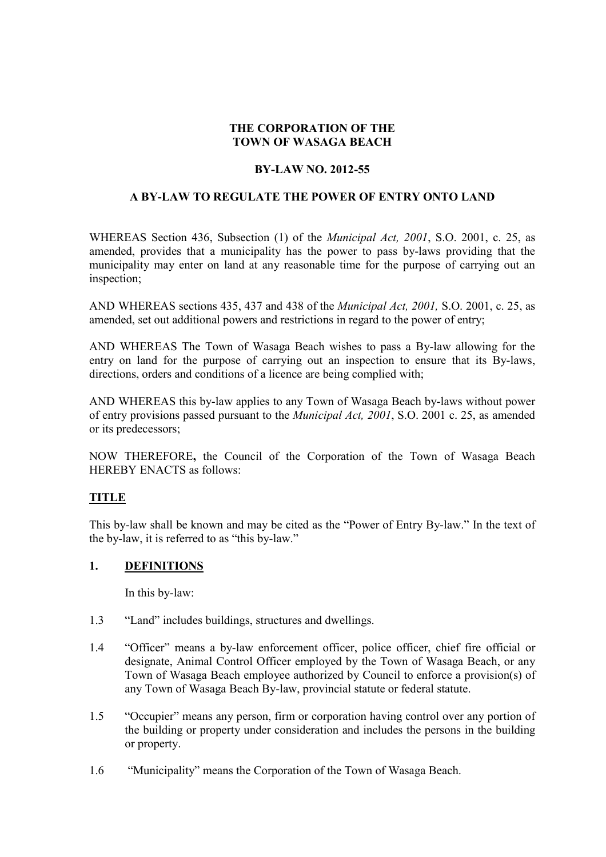# **THE CORPORATION OF THE TOWN OF WASAGA BEACH**

#### **BY-LAW NO. 2012-55**

#### **A BY-LAW TO REGULATE THE POWER OF ENTRY ONTO LAND**

WHEREAS Section 436, Subsection (1) of the *Municipal Act, 2001*, S.O. 2001, c. 25, as amended, provides that a municipality has the power to pass by-laws providing that the municipality may enter on land at any reasonable time for the purpose of carrying out an inspection;

AND WHEREAS sections 435, 437 and 438 of the *Municipal Act, 2001,* S.O. 2001, c. 25, as amended, set out additional powers and restrictions in regard to the power of entry;

AND WHEREAS The Town of Wasaga Beach wishes to pass a By-law allowing for the entry on land for the purpose of carrying out an inspection to ensure that its By-laws, directions, orders and conditions of a licence are being complied with;

AND WHEREAS this by-law applies to any Town of Wasaga Beach by-laws without power of entry provisions passed pursuant to the *Municipal Act, 2001*, S.O. 2001 c. 25, as amended or its predecessors;

NOW THEREFORE**,** the Council of the Corporation of the Town of Wasaga Beach HEREBY ENACTS as follows:

#### **TITLE**

This by-law shall be known and may be cited as the "Power of Entry By-law." In the text of the by-law, it is referred to as "this by-law."

#### **1. DEFINITIONS**

In this by-law:

- 1.3 "Land" includes buildings, structures and dwellings.
- 1.4 "Officer" means a by-law enforcement officer, police officer, chief fire official or designate, Animal Control Officer employed by the Town of Wasaga Beach, or any Town of Wasaga Beach employee authorized by Council to enforce a provision(s) of any Town of Wasaga Beach By-law, provincial statute or federal statute.
- 1.5 "Occupier" means any person, firm or corporation having control over any portion of the building or property under consideration and includes the persons in the building or property.
- 1.6 "Municipality" means the Corporation of the Town of Wasaga Beach.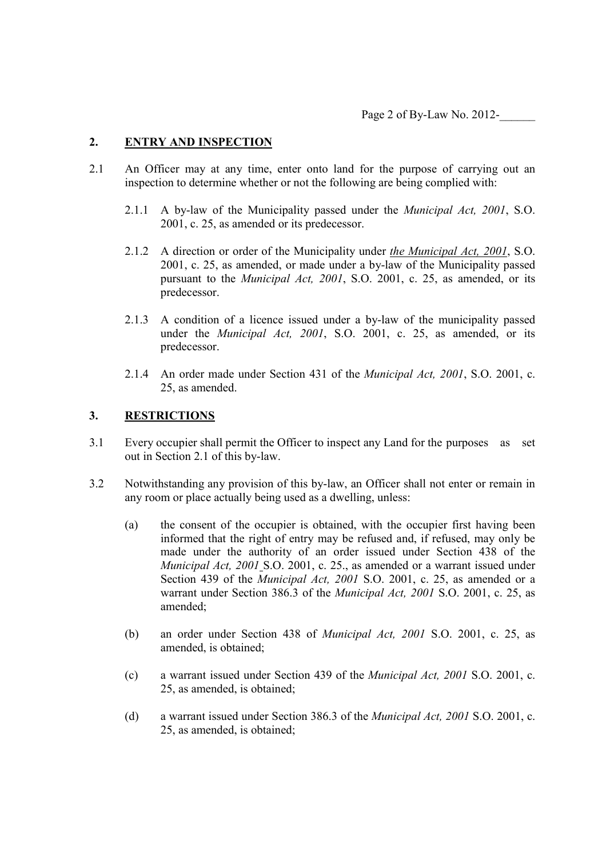## **2. ENTRY AND INSPECTION**

- 2.1 An Officer may at any time, enter onto land for the purpose of carrying out an inspection to determine whether or not the following are being complied with:
	- 2.1.1 A by-law of the Municipality passed under the *Municipal Act, 2001*, S.O. 2001, c. 25, as amended or its predecessor.
	- 2.1.2 A direction or order of the Municipality under *the Municipal Act, 2001*, S.O. 2001, c. 25, as amended, or made under a by-law of the Municipality passed pursuant to the *Municipal Act, 2001*, S.O. 2001, c. 25, as amended, or its predecessor.
	- 2.1.3 A condition of a licence issued under a by-law of the municipality passed under the *Municipal Act, 2001*, S.O. 2001, c. 25, as amended, or its predecessor.
	- 2.1.4 An order made under Section 431 of the *Municipal Act, 2001*, S.O. 2001, c. 25, as amended.

#### **3. RESTRICTIONS**

- 3.1 Every occupier shall permit the Officer to inspect any Land for the purposes as set out in Section 2.1 of this by-law.
- 3.2 Notwithstanding any provision of this by-law, an Officer shall not enter or remain in any room or place actually being used as a dwelling, unless:
	- (a) the consent of the occupier is obtained, with the occupier first having been informed that the right of entry may be refused and, if refused, may only be made under the authority of an order issued under Section 438 of the *Municipal Act, 2001* S.O. 2001, c. 25., as amended or a warrant issued under Section 439 of the *Municipal Act, 2001* S.O. 2001, c. 25, as amended or a warrant under Section 386.3 of the *Municipal Act, 2001* S.O. 2001, c. 25, as amended;
	- (b) an order under Section 438 of *Municipal Act, 2001* S.O. 2001, c. 25, as amended, is obtained;
	- (c) a warrant issued under Section 439 of the *Municipal Act, 2001* S.O. 2001, c. 25, as amended, is obtained;
	- (d) a warrant issued under Section 386.3 of the *Municipal Act, 2001* S.O. 2001, c. 25, as amended, is obtained;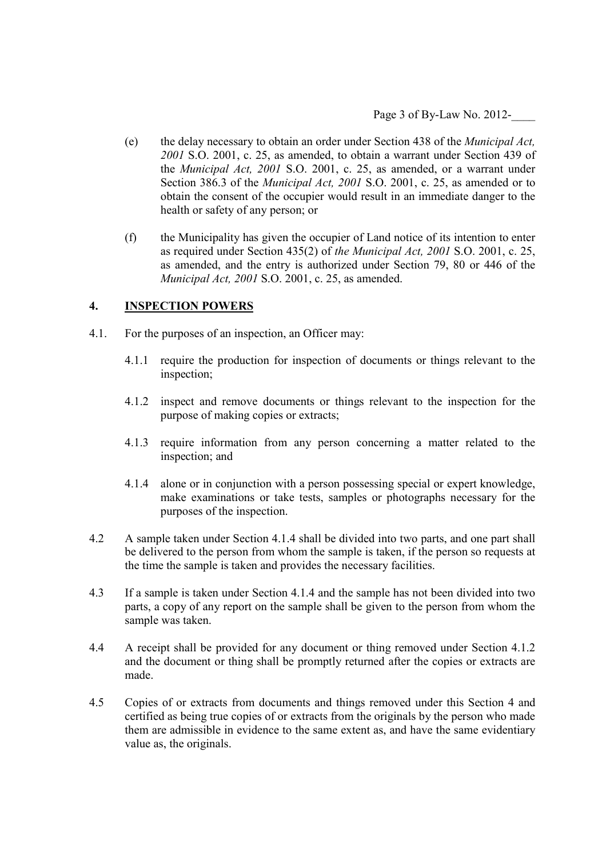Page 3 of By-Law No. 2012-

- (e) the delay necessary to obtain an order under Section 438 of the *Municipal Act, 2001* S.O. 2001, c. 25, as amended, to obtain a warrant under Section 439 of the *Municipal Act, 2001* S.O. 2001, c. 25, as amended, or a warrant under Section 386.3 of the *Municipal Act, 2001* S.O. 2001, c. 25, as amended or to obtain the consent of the occupier would result in an immediate danger to the health or safety of any person; or
- (f) the Municipality has given the occupier of Land notice of its intention to enter as required under Section 435(2) of *the Municipal Act, 2001* S.O. 2001, c. 25, as amended, and the entry is authorized under Section 79, 80 or 446 of the *Municipal Act, 2001* S.O. 2001, c. 25, as amended.

### **4. INSPECTION POWERS**

- 4.1. For the purposes of an inspection, an Officer may:
	- 4.1.1 require the production for inspection of documents or things relevant to the inspection;
	- 4.1.2 inspect and remove documents or things relevant to the inspection for the purpose of making copies or extracts;
	- 4.1.3 require information from any person concerning a matter related to the inspection; and
	- 4.1.4 alone or in conjunction with a person possessing special or expert knowledge, make examinations or take tests, samples or photographs necessary for the purposes of the inspection.
- 4.2 A sample taken under Section 4.1.4 shall be divided into two parts, and one part shall be delivered to the person from whom the sample is taken, if the person so requests at the time the sample is taken and provides the necessary facilities.
- 4.3 If a sample is taken under Section 4.1.4 and the sample has not been divided into two parts, a copy of any report on the sample shall be given to the person from whom the sample was taken.
- 4.4 A receipt shall be provided for any document or thing removed under Section 4.1.2 and the document or thing shall be promptly returned after the copies or extracts are made.
- 4.5 Copies of or extracts from documents and things removed under this Section 4 and certified as being true copies of or extracts from the originals by the person who made them are admissible in evidence to the same extent as, and have the same evidentiary value as, the originals.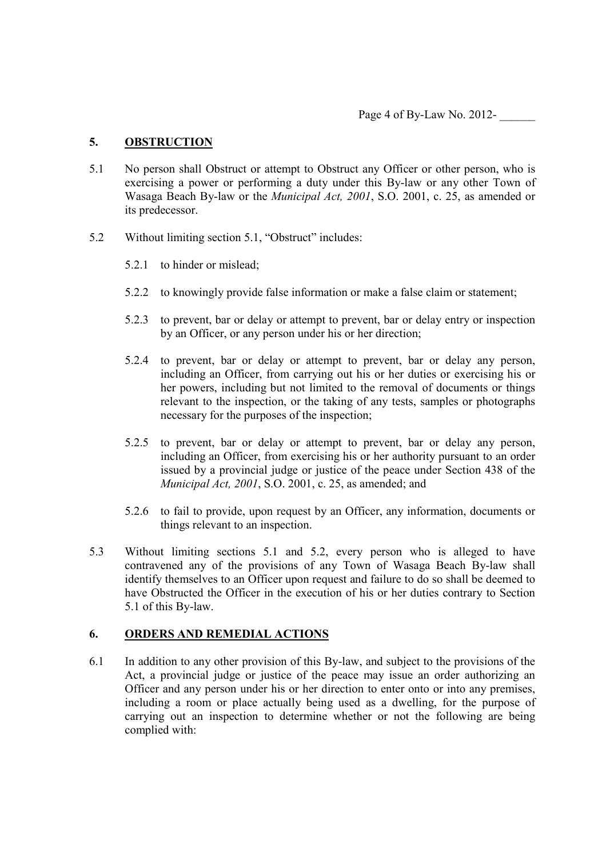Page 4 of By-Law No. 2012-

### **5. OBSTRUCTION**

- 5.1 No person shall Obstruct or attempt to Obstruct any Officer or other person, who is exercising a power or performing a duty under this By-law or any other Town of Wasaga Beach By-law or the *Municipal Act, 2001*, S.O. 2001, c. 25, as amended or its predecessor.
- 5.2 Without limiting section 5.1, "Obstruct" includes:
	- 5.2.1 to hinder or mislead;
	- 5.2.2 to knowingly provide false information or make a false claim or statement;
	- 5.2.3 to prevent, bar or delay or attempt to prevent, bar or delay entry or inspection by an Officer, or any person under his or her direction;
	- 5.2.4 to prevent, bar or delay or attempt to prevent, bar or delay any person, including an Officer, from carrying out his or her duties or exercising his or her powers, including but not limited to the removal of documents or things relevant to the inspection, or the taking of any tests, samples or photographs necessary for the purposes of the inspection;
	- 5.2.5 to prevent, bar or delay or attempt to prevent, bar or delay any person, including an Officer, from exercising his or her authority pursuant to an order issued by a provincial judge or justice of the peace under Section 438 of the *Municipal Act, 2001*, S.O. 2001, c. 25, as amended; and
	- 5.2.6 to fail to provide, upon request by an Officer, any information, documents or things relevant to an inspection.
- 5.3 Without limiting sections 5.1 and 5.2, every person who is alleged to have contravened any of the provisions of any Town of Wasaga Beach By-law shall identify themselves to an Officer upon request and failure to do so shall be deemed to have Obstructed the Officer in the execution of his or her duties contrary to Section 5.1 of this By-law.

#### **6. ORDERS AND REMEDIAL ACTIONS**

6.1 In addition to any other provision of this By-law, and subject to the provisions of the Act, a provincial judge or justice of the peace may issue an order authorizing an Officer and any person under his or her direction to enter onto or into any premises, including a room or place actually being used as a dwelling, for the purpose of carrying out an inspection to determine whether or not the following are being complied with: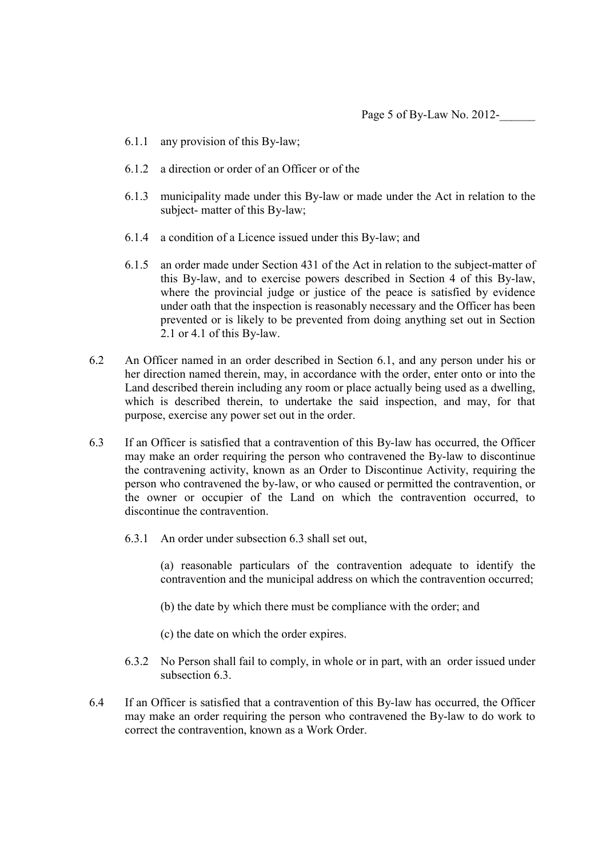- 6.1.1 any provision of this By-law;
- 6.1.2 a direction or order of an Officer or of the
- 6.1.3 municipality made under this By-law or made under the Act in relation to the subject- matter of this By-law;
- 6.1.4 a condition of a Licence issued under this By-law; and
- 6.1.5 an order made under Section 431 of the Act in relation to the subject-matter of this By-law, and to exercise powers described in Section 4 of this By-law, where the provincial judge or justice of the peace is satisfied by evidence under oath that the inspection is reasonably necessary and the Officer has been prevented or is likely to be prevented from doing anything set out in Section 2.1 or 4.1 of this By-law.
- 6.2 An Officer named in an order described in Section 6.1, and any person under his or her direction named therein, may, in accordance with the order, enter onto or into the Land described therein including any room or place actually being used as a dwelling, which is described therein, to undertake the said inspection, and may, for that purpose, exercise any power set out in the order.
- 6.3 If an Officer is satisfied that a contravention of this By-law has occurred, the Officer may make an order requiring the person who contravened the By-law to discontinue the contravening activity, known as an Order to Discontinue Activity, requiring the person who contravened the by-law, or who caused or permitted the contravention, or the owner or occupier of the Land on which the contravention occurred, to discontinue the contravention.
	- 6.3.1 An order under subsection 6.3 shall set out,

(a) reasonable particulars of the contravention adequate to identify the contravention and the municipal address on which the contravention occurred;

- (b) the date by which there must be compliance with the order; and
- (c) the date on which the order expires.
- 6.3.2 No Person shall fail to comply, in whole or in part, with an order issued under subsection 6.3
- 6.4 If an Officer is satisfied that a contravention of this By-law has occurred, the Officer may make an order requiring the person who contravened the By-law to do work to correct the contravention, known as a Work Order.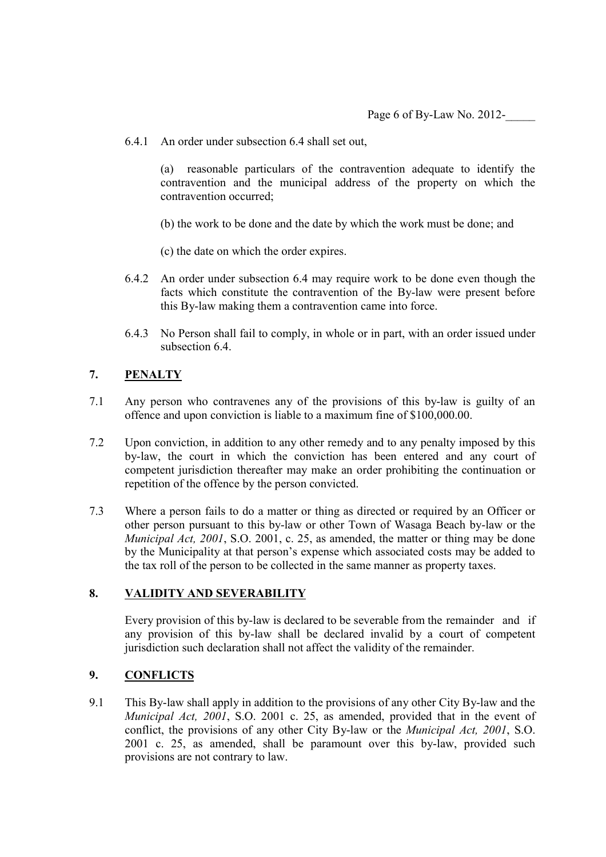6.4.1 An order under subsection 6.4 shall set out,

(a) reasonable particulars of the contravention adequate to identify the contravention and the municipal address of the property on which the contravention occurred;

- (b) the work to be done and the date by which the work must be done; and
- (c) the date on which the order expires.
- 6.4.2 An order under subsection 6.4 may require work to be done even though the facts which constitute the contravention of the By-law were present before this By-law making them a contravention came into force.
- 6.4.3 No Person shall fail to comply, in whole or in part, with an order issued under subsection 6.4

### **7. PENALTY**

- 7.1 Any person who contravenes any of the provisions of this by-law is guilty of an offence and upon conviction is liable to a maximum fine of \$100,000.00.
- 7.2 Upon conviction, in addition to any other remedy and to any penalty imposed by this by-law, the court in which the conviction has been entered and any court of competent jurisdiction thereafter may make an order prohibiting the continuation or repetition of the offence by the person convicted.
- 7.3 Where a person fails to do a matter or thing as directed or required by an Officer or other person pursuant to this by-law or other Town of Wasaga Beach by-law or the *Municipal Act, 2001*, S.O. 2001, c. 25, as amended, the matter or thing may be done by the Municipality at that person's expense which associated costs may be added to the tax roll of the person to be collected in the same manner as property taxes.

# **8. VALIDITY AND SEVERABILITY**

Every provision of this by-law is declared to be severable from the remainder and if any provision of this by-law shall be declared invalid by a court of competent jurisdiction such declaration shall not affect the validity of the remainder.

# **9. CONFLICTS**

9.1 This By-law shall apply in addition to the provisions of any other City By-law and the *Municipal Act, 2001*, S.O. 2001 c. 25, as amended, provided that in the event of conflict, the provisions of any other City By-law or the *Municipal Act, 2001*, S.O. 2001 c. 25, as amended, shall be paramount over this by-law, provided such provisions are not contrary to law.